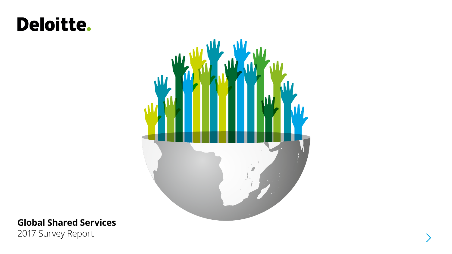## **Deloitte.**



### **Global Shared Services**

2017 Survey Report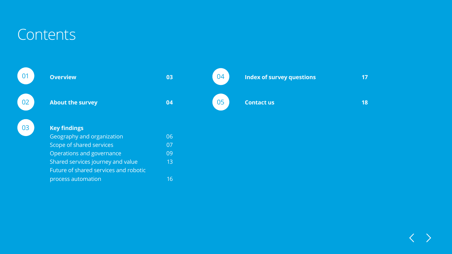## **Contents**

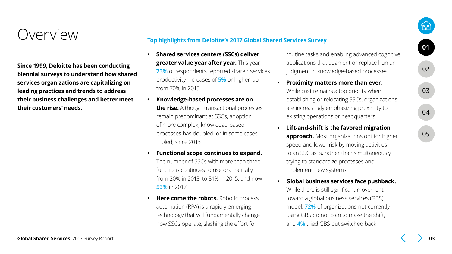### <span id="page-2-0"></span>Overview

**Since 1999, Deloitte has been conducting biennial surveys to understand how shared services organizations are capitalizing on leading practices and trends to address their business challenges and better meet their customers' needs.**

#### **Top highlights from Deloitte's 2017 Global Shared Services Survey**

- **• Shared services centers (SSCs) deliver greater value year after year.** This year, **73%** of respondents reported shared services productivity increases of **5%** or higher, up from 70% in 2015
- **• Knowledge-based processes are on the rise.** Although transactional processes remain predominant at SSCs, adoption of more complex, knowledge-based processes has doubled, or in some cases tripled, since 2013
- **• Functional scope continues to expand.** The number of SSCs with more than three functions continues to rise dramatically, from 20% in 2013, to 31% in 2015, and now **53%** in 2017
- **• Here come the robots.** Robotic process automation (RPA) is a rapidly emerging technology that will fundamentally change how SSCs operate, slashing the effort for

routine tasks and enabling advanced cognitive applications that augment or replace human judgment in knowledge-based processes

- **• Proximity matters more than ever.** While cost remains a top priority when establishing or relocating SSCs, organizations are increasingly emphasizing proximity to existing operations or headquarters
- **• Lift-and-shift is the favored migration approach.** Most organizations opt for higher speed and lower risk by moving activities to an SSC as is, rather than simultaneously trying to standardize processes and implement new systems
- **• Global business services face pushback.** While there is still significant movement toward a global business services (GBS) model, **72%** of organizations not currently using GBS do not plan to make the shift, and **4%** tried GBS but switched back

[05](#page-17-0)

[04](#page-16-0)

[03](#page-5-0)

**01**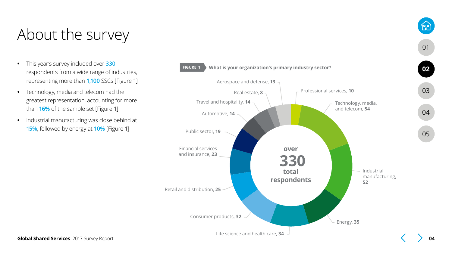## <span id="page-3-0"></span>About the survey

- **•** This year's survey included over **330** respondents from a wide range of industries, representing more than **1,100** SSCs [Figure 1]
- **•** Technology, media and telecom had the greatest representation, accounting for more than **16%** of the sample set [Figure 1]
- **•** Industrial manufacturing was close behind at **15%**, followed by energy at **10%** [Figure 1]



[01](#page-2-0)

的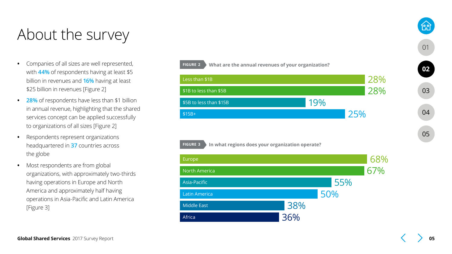### About the survey

- **•** Companies of all sizes are well represented, with **44%** of respondents having at least \$5 billion in revenues and **16%** having at least \$25 billion in revenues [Figure 2]
- **• 28%** of respondents have less than \$1 billion in annual revenue, highlighting that the shared services concept can be applied successfully to organizations of all sizes [Figure 2]
- **•** Respondents represent organizations headquartered in **37** countries across the globe
- **•** Most respondents are from global organizations, with approximately two-thirds having operations in Europe and North America and approximately half having operations in Asia-Pacific and Latin America [Figure 3]





**FIGURE 3 In what regions does your organization operate?**

[01](#page-2-0)

19.P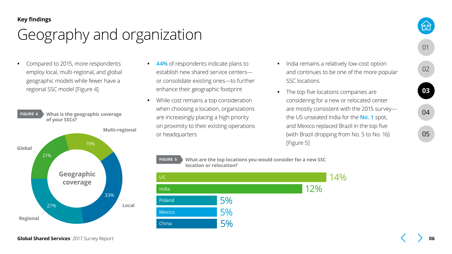## <span id="page-5-0"></span>Geography and organization

**•** Compared to 2015, more respondents employ local, multi-regional, and global geographic models while fewer have a regional SSC model [Figure 4]



- **• 44%** of respondents indicate plans to establish new shared service centers or consolidate existing ones—to further enhance their geographic footprint
- **•** While cost remains a top consideration when choosing a location, organizations are increasingly placing a high priority on proximity to their existing operations or headquarters
- **•** India remains a relatively low-cost option and continues to be one of the more popular SSC locations.
- **•** The top five locations companies are considering for a new or relocated center are mostly consistent with the 2015 survey the US unseated India for the **No. 1** spot, and Mexico replaced Brazil in the top five (with Brazil dropping from No. 5 to No. 16) [Figure 5]

# **FIGURE 5 What are the top locations you would consider for a new SSC**



[05](#page-17-0)

[04](#page-16-0)

**03**

[01](#page-2-0)

**feel**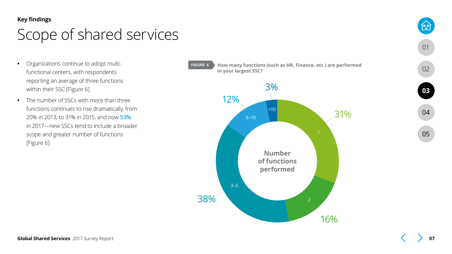## <span id="page-6-0"></span>Scope of shared services

- **•** Organizations continue to adopt multifunctional centers, with respondents reporting an average of three functions within their SSC [Figure 6]
- **•** The number of SSCs with more than three functions continues to rise dramatically, from 20% in 2013, to 31% in 2015, and now **53%** in 2017—new SSCs tend to include a broader scope and greater number of functions [Figure 6]



[01](#page-2-0)

**1:21** 

[02](#page-3-0)

[05](#page-17-0)

[04](#page-16-0)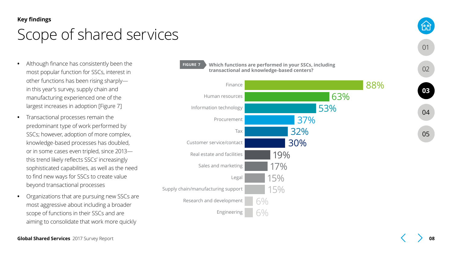### Scope of shared services

- **•** Although finance has consistently been the most popular function for SSCs, interest in other functions has been rising sharply in this year's survey, supply chain and manufacturing experienced one of the largest increases in adoption [Figure 7]
- **•** Transactional processes remain the predominant type of work performed by SSCs; however, adoption of more complex, knowledge-based processes has doubled, or in some cases even tripled, since 2013 this trend likely reflects SSCs' increasingly sophisticated capabilities, as well as the need to find new ways for SSCs to create value beyond transactional processes
- **•** Organizations that are pursuing new SSCs are most aggressive about including a broader scope of functions in their SSCs and are aiming to consolidate that work more quickly



#### **FIGURE 7 Which functions are performed in your SSCs, including transactional and knowledge-based centers?**



[01](#page-2-0)

**feel** 

[04](#page-16-0)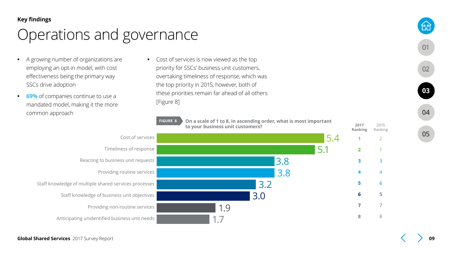- <span id="page-8-0"></span>**•** A growing number of organizations are employing an opt-in model, with cost effectiveness being the primary way SSCs drive adoption
- **• 69%** of companies continue to use a mandated model, making it the more common approach

**•** Cost of services is now viewed as the top priority for SSCs' business unit customers, overtaking timeliness of response, which was the top priority in 2015; however, both of these priorities remain far ahead of all others [Figure 8]



[05](#page-17-0)

[04](#page-16-0)

**[03](#page-5-0)**

[01](#page-2-0)

1ም<br>1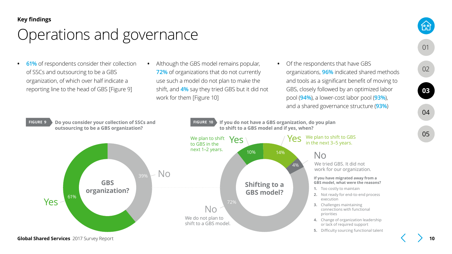- **• 61%** of respondents consider their collection of SSCs and outsourcing to be a GBS organization, of which over half indicate a reporting line to the head of GBS [Figure 9]
- **•** Although the GBS model remains popular, **72%** of organizations that do not currently use such a model do not plan to make the shift, and **4%** say they tried GBS but it did not work for them [Figure 10]
- **•** Of the respondents that have GBS organizations, **96%** indicated shared methods and tools as a significant benefit of moving to GBS, closely followed by an optimized labor pool (**94%**), a lower-cost labor pool (**93%**), and a shared governance structure (**93%**)



[05](#page-17-0)

[04](#page-16-0)

**[03](#page-5-0)**

[01](#page-2-0)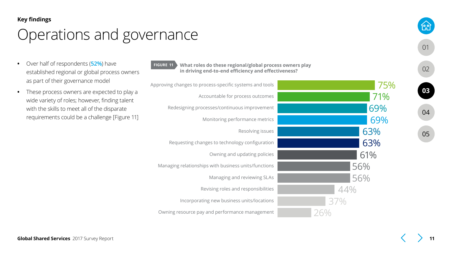- **•** Over half of respondents (**52%**) have established regional or global process owners as part of their governance model
- **•** These process owners are expected to play a wide variety of roles; however, finding talent with the skills to meet all of the disparate requirements could be a challenge [Figure 11]

| S | <b>FIGURE 11</b><br>What roles do these regional/global process owners play<br>in driving end-to-end efficiency and effectiveness? |     |
|---|------------------------------------------------------------------------------------------------------------------------------------|-----|
|   | Approving changes to process-specific systems and tools                                                                            | 75% |
|   | Accountable for process outcomes                                                                                                   | 71% |
|   | Redesigning processes/continuous improvement                                                                                       | 69% |
|   | Monitoring performance metrics                                                                                                     | 69% |
|   | Resolving issues                                                                                                                   | 63% |
|   | Requesting changes to technology configuration                                                                                     | 63% |
|   | Owning and updating policies                                                                                                       | 61% |
|   | Managing relationships with business units/functions                                                                               | 56% |
|   | Managing and reviewing SLAs                                                                                                        | 56% |
|   | Revising roles and responsibilities                                                                                                |     |
|   | Incorporating new business units/locations                                                                                         | 37% |
|   | Owning resource pay and performance management                                                                                     |     |

[02](#page-3-0)

[01](#page-2-0)

<u>በቃ</u>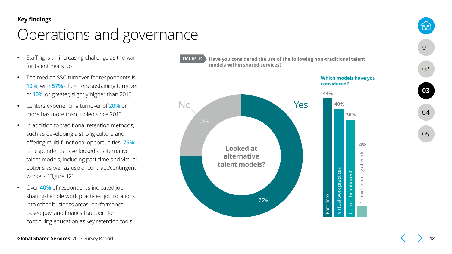- **•** Staffing is an increasing challenge as the war for talent heats up
- **•** The median SSC turnover for respondents is **10%**, with **57%** of centers sustaining turnover of **10%** or greater, slightly higher than 2015
- **•** Centers experiencing turnover of **20%** or more has more than tripled since 2015
- **•** In addition to traditional retention methods, such as developing a strong culture and offering multi-functional opportunities, **75%** of respondents have looked at alternative talent models, including part-time and virtual options as well as use of contract/contingent workers [Figure 12]
- **•** Over **40%** of respondents indicated job sharing/flexible work practices, job rotations into other business areas, performancebased pay, and financial support for continuing education as key retention tools



**FIGURE 12 Have you considered the use of the following non-traditional talent models within shared services?**



[05](#page-17-0) [04](#page-16-0)

[01](#page-2-0)

<u>1ም</u>

[02](#page-3-0)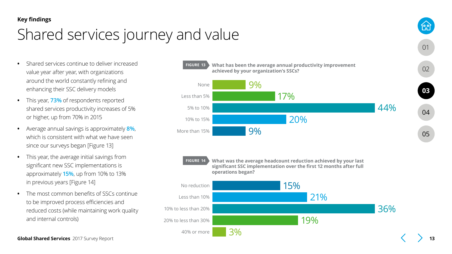## <span id="page-12-0"></span>Shared services journey and value

- **•** Shared services continue to deliver increased value year after year, with organizations around the world constantly refining and enhancing their SSC delivery models
- **•** This year, **73%** of respondents reported shared services productivity increases of 5% or higher, up from 70% in 2015
- **•** Average annual savings is approximately **8%**, which is consistent with what we have seen since our surveys began [Figure 13]
- **•** This year, the average initial savings from significant new SSC implementations is approximately **15%**, up from 10% to 13% in previous years [Figure 14]
- **•** The most common benefits of SSCs continue to be improved process efficiencies and reduced costs (while maintaining work quality and internal controls)

**FIGURE 13 What has been the average annual productivity improvement achieved by your organization's SSCs?** 9% 17% 44% None Less than 5% 5% to 10%

20%

**FIGURE 14 What was the average headcount reduction achieved by your last significant SSC implementation over the first 12 months after full operations began?**

9%

10% to 15%

More than 15%



**Global Shared Services** 2017 Survey Report

[05](#page-17-0)

[04](#page-16-0)

**[03](#page-5-0)**

[01](#page-2-0)

<u>1ም</u>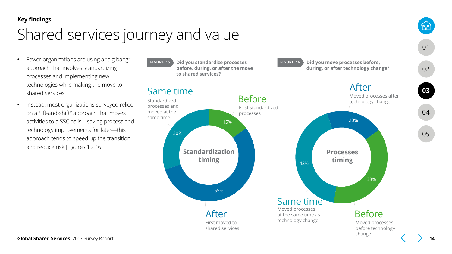## Shared services journey and value

- **•** Fewer organizations are using a "big bang" approach that involves standardizing processes and implementing new technologies while making the move to shared services
- **•** Instead, most organizations surveyed relied on a "lift-and-shift" approach that moves activities to a SSC as is—saving process and technology improvements for later—this approach tends to speed up the transition and reduce risk [Figures 15, 16]



<u>ୀକ୍</u>ନ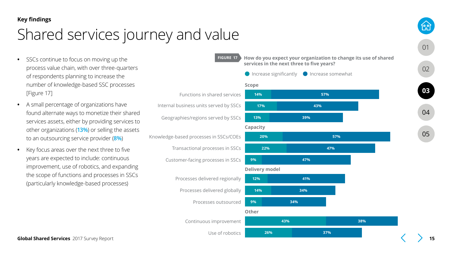## Shared services journey and value

- **•** SSCs continue to focus on moving up the process value chain, with over three-quarters of respondents planning to increase the number of knowledge-based SSC processes [Figure 17]
- **•** A small percentage of organizations have found alternate ways to monetize their shared services assets, either by providing services to other organizations (**13%**) or selling the assets to an outsourcing service provider (**8%**)
- **•** Key focus areas over the next three to five years are expected to include: continuous improvement, use of robotics, and expanding the scope of functions and processes in SSCs (particularly knowledge-based processes)

**FIGURE 17 How do you expect your organization to change its use of shared services in the next three to five years?** Geographies/regions served by SSCs Internal business units served by SSCs Functions in shared services **14% 57% 17% 43% 13% 39%** Knowledge-based processes in SSCs/COEs **20% 57% Scope**  $\bigcirc$  Increase significantly  $\bigcirc$  Increase somewhat **Capacity**

**9% 47% 22% 47%**

Customer-facing processes in SSCs

Transactional processes in SSCs





[05](#page-17-0)

[04](#page-16-0)

[01](#page-2-0)

[02](#page-3-0)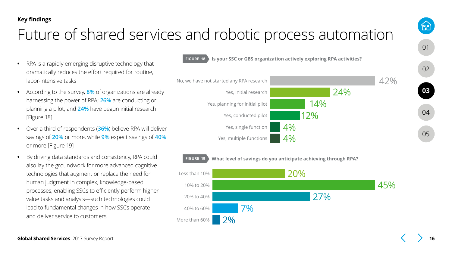## <span id="page-15-0"></span>Future of shared services and robotic process automation

- **•** RPA is a rapidly emerging disruptive technology that dramatically reduces the effort required for routine, labor-intensive tasks
- **•** According to the survey, **8%** of organizations are already harnessing the power of RPA; **26%** are conducting or planning a pilot; and **24%** have begun initial research [Figure 18]
- **•** Over a third of respondents (**36%**) believe RPA will deliver savings of **20%** or more, while **9%** expect savings of **40%** or more [Figure 19]
- **•** By driving data standards and consistency, RPA could also lay the groundwork for more advanced cognitive technologies that augment or replace the need for human judgment in complex, knowledge-based processes, enabling SSCs to efficiently perform higher value tasks and analysis—such technologies could lead to fundamental changes in how SSCs operate and deliver service to customers





**FIGURE 19 What level of savings do you anticipate achieving through RPA?**



[05](#page-17-0)

[04](#page-16-0)

[01](#page-2-0)

的

[02](#page-3-0)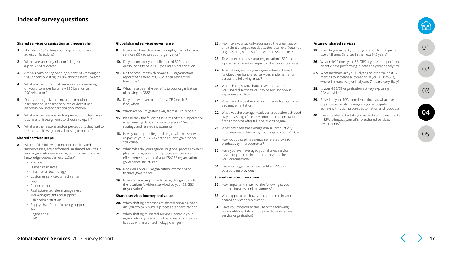#### <span id="page-16-0"></span>**Index of survey questions**

#### **Shared services organization and geography**

- **1.** How many SSCs does your organization have across all functions?
- **2.** Where are your organization's largest (up to 5) SSCs located?
- **3.** Are you considering opening a new SSC, moving an SSC, or consolidating SSCs within the next 3 years?
- **4.** What are the top 3 locations you are considering or would consider for a new SSC location or SSC relocation?
- **5.** Does your organization mandate (require) participation in shared services or does it use an opt-in (voluntary participation) model?
- **6.** What are the reasons and/or perceptions that cause business units/segments to choose to opt in?
- **7.** What are the reasons and/or perceptions that lead to business units/segments choosing to opt out?

#### **Shared services scope**

- **8.** Which of the following functions (and related subprocesses) are performed via shared services in your organization—including both transactional and knowledge-based centers (COEs)?
	- Finance
	- Human resources
	- Information technology
	- Customer service/contact center
	- Legal
	- Procurement
	- Real estate/facilities management
	- Marketing insight and support
	- Sales administration
	- Supply chain/manufacturing support
	- Tax
	- Engineering
	- R&D

#### **Global shared services governance**

- **9.** How would you describe the deployment of shared services (SS) across your organization?
- **10.** Do you consider your collection of SSCs and outsourcing to be a GBS (or similar) organization?
- **11.** Do the resources within your GBS organization report to the head of GBS or their respective functions?
- **12.** What have been the benefits to your organization of moving to GBS?
- **13.** Do you have plans to shift to a GBS model? If so, when?
- **14.** Why have you migrated away from a GBS model?
- **15.** Please rank the following in terms of their importance when making decisions regarding your SS/GBS strategy and related investments.
- **16.** Have you adopted Regional or global process owners as part of your SS/GBS organization's governance structure?
- **17.** What roles do your regional or global process owners play in driving end-to-end process efficiency and effectiveness as part of your SS/GBS organization's governance structure?
- **18.** Does your SS/GBS organization leverage SLAs to drive governance?
- **19.** How are services primarily being charged back to the locations/divisions serviced by your SS/GBS organization?

#### **Shared services journey and value**

- **20.** When shifting processes to shared services, when did you typically pursue process standardization?
- **21.** When shifting to shared services, how did your organization typically time the move of processes to SSCs with major technology changes?
- **22.** How have you typically addressed the organization and talent changes needed at the local level (retained organization) when shifting work to SSCs/COEs?
- **23.** To what extent have your organization's SSCs had a positive or negative impact in the following areas?
- **24.** To what degree has your organization achieved its objectives for shared services implementation across the following areas?
- **25.** What changes would you have made along your shared services journey based upon your experience to date?
- **26.** What was the payback period for your last significant SSC implementation?
- **27.** What was the average headcount reduction achieved by your last significant SSC implementation over the first 12 months after full operations began?
- **28.** What has been the average annual productivity improvement achieved by your organization's SSCs?
- **29.** How do you use the savings generated by SSC productivity improvements?
- **30.** Have you ever leveraged your shared service assets to generate incremental revenue for your organization?
- **31.** Has your organization ever sold an SSC to an outsourcing provider?

#### **Shared services operations**

- **32.** How important is each of the following to your internal business unit customers?
- **33.** What approaches have you used to retain your shared services employees?
- **34.** Have you considered the use of the following non-traditional talent models within your shared service organization?

#### **Future of shared services**

- **35.** How do you expect your organization to change its use of Shared Services in the next 3–5 years?
- **36.** What role(s) does your SS/GBS organization perform or anticipate performing in data analysis or analytics?
- **37.** What methods are you likely to use over the next 12 months to increase automation in your GBS/SSCs, where 1 means very unlikely and 7 means very likely?
- **38.** Is your GBS/SS organization actively exploring RPA activities?
- **39.** Based on your RPA experience thus far, what level of process-specific savings do you anticipate achieving through process automation and robotics?
- **40.** If yes, to what extent do you expect your investments in RPA to impact your offshore shared services investments?



[01](#page-2-0)

[05](#page-17-0)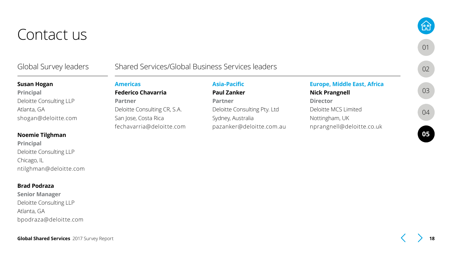### <span id="page-17-0"></span>Contact us

### Global Survey leaders

### Shared Services/Global Business Services leaders

#### **Susan Hogan**

### **Principal** Deloitte Consulting LLP Atlanta, GA shogan@deloitte.com

#### **Noemie Tilghman**

**Principal** Deloitte Consulting LLP Chicago, IL ntilghman@deloitte.com

#### **Brad Podraza**

**Senior Manager** Deloitte Consulting LLP Atlanta, GA bpodraza@deloitte.com

### **Americas**

**Federico Chavarria Partner** Deloitte Consulting CR, S.A. San Jose, Costa Rica fechavarria@deloitte.com

### **Asia-Pacific**

### **Paul Zanker**

**Partner** Deloitte Consulting Pty. Ltd Sydney, Australia pazanker@deloitte.com.au

### **Europe, Middle East, Africa**

### **Nick Prangnell**

**Director** Deloitte MCS Limited Nottingham, UK nprangnell@deloitte.co.uk [01](#page-2-0)

[02](#page-3-0)

**fall** 

[03](#page-5-0)